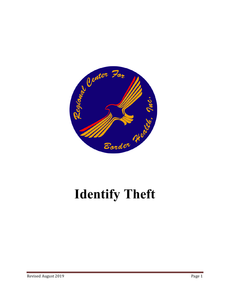

# **Identify Theft**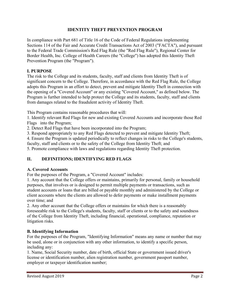#### **IDENTITY THEFT PREVENTION PROGRAM**

In compliance with Part 681 of Title 16 of the Code of Federal Regulations implementing Sections 114 of the Fair and Accurate Credit Transactions Act of 2003 ("FACTA"), and pursuant to the Federal Trade Commission's Red Flag Rule (the "Red Flag Rule"), Regional Center for Border Health, Inc. College of Health Careers (the "College") has adopted this Identity Theft Prevention Program (the "Program").

#### **I. PURPOSE**

The risk to the College and its students, faculty, staff and clients from Identity Theft is of significant concern to the College. Therefore, in accordance with the Red Flag Rule, the College adopts this Program in an effort to detect, prevent and mitigate Identity Theft in connection with the opening of a "Covered Account" or any existing "Covered Account," as defined below. The Program is further intended to help protect the College and its students, faculty, staff and clients from damages related to the fraudulent activity of Identity Theft.

This Program contains reasonable procedures that will:

1. Identify relevant Red Flags for new and existing Covered Accounts and incorporate those Red Flags into the Program;

2. Detect Red Flags that have been incorporated into the Program;

3. Respond appropriately to any Red Flags detected to prevent and mitigate Identity Theft;

4. Ensure the Program is updated periodically to reflect changes in risks to the College's students,

faculty, staff and clients or to the safety of the College from Identity Theft; and

5. Promote compliance with laws and regulations regarding Identity Theft protection.

## **II. DEFINITIONS; IDENTIFYING RED FLAGS**

#### **A. Covered Accounts**

For the purposes of the Program, a "Covered Account" includes:

1. Any account that the College offers or maintains, primarily for personal, family or household purposes, that involves or is designed to permit multiple payments or transactions, such as student accounts or loans that are billed or payable monthly and administered by the College or client accounts where the clients are allowed to defer payments or make installment payments over time; and

2. Any other account that the College offers or maintains for which there is a reasonably foreseeable risk to the College's students, faculty, staff or clients or to the safety and soundness of the College from Identity Theft, including financial, operational, compliance, reputation or litigation risks.

#### **B. Identifying Information**

For the purposes of the Program, "Identifying Information" means any name or number that may be used, alone or in conjunction with any other information, to identify a specific person, including any:

1. Name, Social Security number, date of birth, official State or government issued driver's license or identification number, alien registration number, government passport number, employer or taxpayer identification number;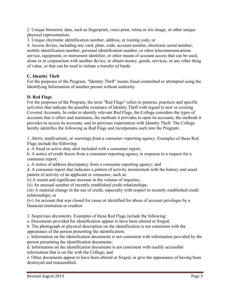2. Unique biometric data, such as fingerprint, voice print, retina or iris image, or other unique physical representation;

3. Unique electronic identification number, address, or routing code; or

4. Access device, including any card, plate, code, account number, electronic serial number, mobile identification number, personal identification number, or other telecommunications service, equipment, or instrument identifier, or other means of account access that can be used, alone or in conjunction with another device, to obtain money, goods, services, or any other thing of value, or that can be used to initiate a transfer of funds.

## **C. Identity Theft**

For the purposes of the Program, "Identity Theft" means fraud committed or attempted using the Identifying Information of another person without authority.

## **D. Red Flags**

For the purposes of the Program, the term "Red Flags" refers to patterns, practices and specific activities that indicate the possible existence of Identity Theft with regard to new or existing Covered Accounts. In order to identify relevant Red Flags, the College considers the types of accounts that it offers and maintains, the methods it provides to open its accounts, the methods it provides to access its accounts, and its previous experiences with Identity Theft. The College hereby identifies the following as Red Flags and incorporates such into the Program:

1. *Alerts, notifications, or warnings from a consumer reporting agency*. Examples of these Red Flags include the following:

a. A fraud or active duty alert included with a consumer report;

b. A notice of credit freeze from a consumer reporting agency in response to a request for a consumer report;

c. A notice of address discrepancy from a consumer reporting agency; and

d. A consumer report that indicates a pattern of activity inconsistent with the history and usual pattern of activity of an applicant or consumer, such as:

(i) A recent and significant increase in the volume of inquiries;

(ii) An unusual number of recently established credit relationships;

(iii) A material change in the use of credit, especially with respect to recently established credit relationships; or

(iv) An account that was closed for cause or identified for abuse of account privileges by a financial institution or creditor.

2. *Suspicious documents*. Examples of these Red Flags include the following:

a. Documents provided for identification appear to have been altered or forged;

b. The photograph or physical description on the identification is not consistent with the appearance of the person presenting the identification;

c. Information on the identification documents is not consistent with information provided by the person presenting the identification documents;

d. Information on the identification documents is not consistent with readily accessible information that is on file with the College; and

e. Other documents appear to have been altered or forged, or give the appearance of having been destroyed and reassembled.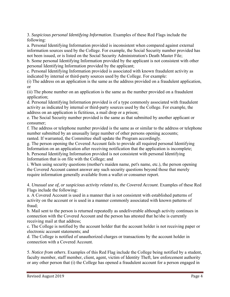3. *Suspicious personal Identifying Information*. Examples of these Red Flags include the following:

a. Personal Identifying Information provided is inconsistent when compared against external information sources used by the College. For example, the Social Security number provided has not been issued, or is listed on the Social Security Administration's Death Master File;

b. Some personal Identifying Information provided by the applicant is not consistent with other personal Identifying Information provided by the applicant;

c. Personal Identifying Information provided is associated with known fraudulent activity as indicated by internal or third-party sources used by the College. For example:

(i) The address on an application is the same as the address provided on a fraudulent application, or

(ii) The phone number on an application is the same as the number provided on a fraudulent application;

d. Personal Identifying Information provided is of a type commonly associated with fraudulent activity as indicated by internal or third-party sources used by the College. For example, the address on an application is fictitious, a mail drop or a prison;

e. The Social Security number provided is the same as that submitted by another applicant or consumer;

f. The address or telephone number provided is the same as or similar to the address or telephone number submitted by an unusually large number of other persons opening accounts; ranted. If warranted, the Committee shall update the Program accordingly.

g. The person opening the Covered Account fails to provide all required personal Identifying Information on an application after receiving notification that the application is incomplete; h. Personal Identifying Information provided is not consistent with personal Identifying Information that is on file with the College; and

i. When using security questions (mother's maiden name, pet's name, etc.), the person opening the Covered Account cannot answer any such security questions beyond those that merely require information generally available from a wallet or consumer report.

4. *Unusual use of, or suspicious activity related to, the Covered Account*. Examples of these Red Flags include the following:

a. A Covered Account is used in a manner that is not consistent with established patterns of activity on the account or is used in a manner commonly associated with known patterns of fraud;

b. Mail sent to the person is returned repeatedly as undeliverable although activity continues in connection with the Covered Account and the person has attested that he/she is currently receiving mail at that address;

c. The College is notified by the account holder that the account holder is not receiving paper or electronic account statements; and

d. The College is notified of unauthorized charges or transactions by the account holder in connection with a Covered Account.

5. *Notice from others*. Examples of this Red Flag include the College being notified by a student, faculty member, staff member, client, agent, victim of Identity Theft, law enforcement authority or any other person that (i) the College has opened a fraudulent account for a person engaged in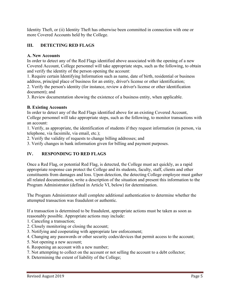Identity Theft, or (ii) Identity Theft has otherwise been committed in connection with one or more Covered Accounts held by the College.

## **III. DETECTING RED FLAGS**

#### **A. New Accounts**

In order to detect any of the Red Flags identified above associated with the opening of a new Covered Account, College personnel will take appropriate steps, such as the following, to obtain and verify the identity of the person opening the account:

1. Require certain Identifying Information such as name, date of birth, residential or business address, principal place of business for an entity, driver's license or other identification;

2. Verify the person's identity (for instance, review a driver's license or other identification document); and

3. Review documentation showing the existence of a business entity, when applicable.

#### **B. Existing Accounts**

In order to detect any of the Red Flags identified above for an existing Covered Account, College personnel will take appropriate steps, such as the following, to monitor transactions with an account:

1. Verify, as appropriate, the identification of students if they request information (in person, via telephone, via facsimile, via email, etc.);

2. Verify the validity of requests to change billing addresses; and

3. Verify changes in bank information given for billing and payment purposes.

## **IV. RESPONDING TO RED FLAGS**

Once a Red Flag, or potential Red Flag, is detected, the College must act quickly, as a rapid appropriate response can protect the College and its students, faculty, staff, clients and other constituents from damages and loss. Upon detection, the detecting College employee must gather all related documentation, write a description of the situation and present this information to the Program Administrator (defined in Article VI, below) for determination.

The Program Administrator shall complete additional authentication to determine whether the attempted transaction was fraudulent or authentic.

If a transaction is determined to be fraudulent, appropriate actions must be taken as soon as reasonably possible. Appropriate actions may include:

- 1. Canceling a transaction;
- 2. Closely monitoring or closing the account;
- 3. Notifying and cooperating with appropriate law enforcement;
- 4. Changing any passwords or other security codes/devices that permit access to the account;
- 5. Not opening a new account;
- 6. Reopening an account with a new number;
- 7. Not attempting to collect on the account or not selling the account to a debt collector;
- 8. Determining the extent of liability of the College;